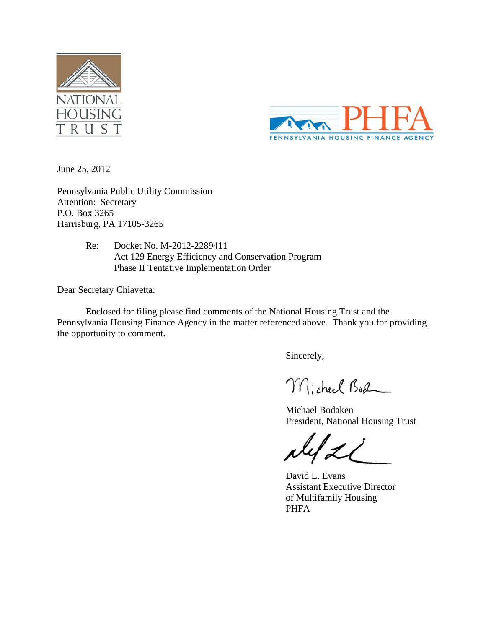



June 25, 2012

Pennsylvania Public Utility Commission Attention: Secretary P.O. Box 3265 Harrisburg, PA 17105-3265

> Re: Re: Docket No. M-2012-2289411 Act 129 Energy Efficiency and Conservation Program Phase II Tentative Implementation Order

Dear Secretary Chiavetta:

Enclosed for filing please find comments of the National Housing Trust and the Pennsylvania Housing Finance Agency in the matter referenced above. Thank you for providing the opportunity to comment.

Sincerely,

Michael Bod

Michael Bodaken President, National Housing Trust

David L . Evans Assistant Executive Director of Multifamily Housing PHFA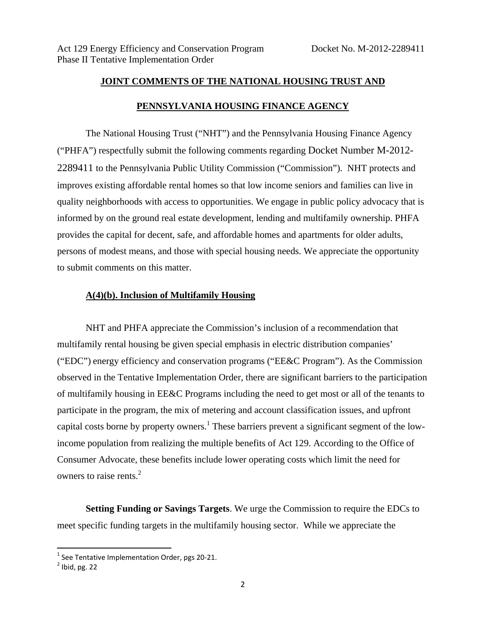## **JOINT COMMENTS OF THE NATIONAL HOUSING TRUST AND PENNSYLVANIA HOUSING FINANCE AGENCY**

The National Housing Trust ("NHT") and the Pennsylvania Housing Finance Agency ("PHFA") respectfully submit the following comments regarding Docket Number M-2012- 2289411 to the Pennsylvania Public Utility Commission ("Commission"). NHT protects and improves existing affordable rental homes so that low income seniors and families can live in quality neighborhoods with access to opportunities. We engage in public policy advocacy that is informed by on the ground real estate development, lending and multifamily ownership. PHFA provides the capital for decent, safe, and affordable homes and apartments for older adults, persons of modest means, and those with special housing needs. We appreciate the opportunity to submit comments on this matter.

## **A(4)(b). Inclusion of Multifamily Housing**

NHT and PHFA appreciate the Commission's inclusion of a recommendation that multifamily rental housing be given special emphasis in electric distribution companies' ("EDC") energy efficiency and conservation programs ("EE&C Program"). As the Commission observed in the Tentative Implementation Order, there are significant barriers to the participation of multifamily housing in EE&C Programs including the need to get most or all of the tenants to participate in the program, the mix of metering and account classification issues, and upfront capital costs borne by property owners.<sup>1</sup> These barriers prevent a significant segment of the lowincome population from realizing the multiple benefits of Act 129. According to the Office of Consumer Advocate, these benefits include lower operating costs which limit the need for owners to raise rents.<sup>2</sup>

**Setting Funding or Savings Targets**. We urge the Commission to require the EDCs to meet specific funding targets in the multifamily housing sector. While we appreciate the

<sup>&</sup>lt;sup>1</sup> See Tentative Implementation Order, pgs 20-21.<br><sup>2</sup> Ibid. pg. 22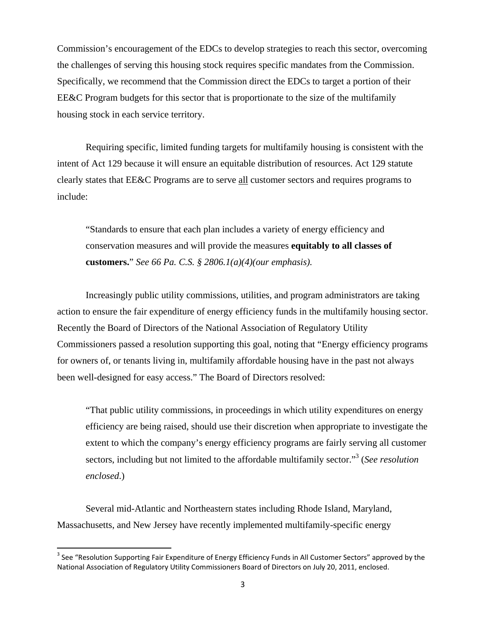Commission's encouragement of the EDCs to develop strategies to reach this sector, overcoming the challenges of serving this housing stock requires specific mandates from the Commission. Specifically, we recommend that the Commission direct the EDCs to target a portion of their EE&C Program budgets for this sector that is proportionate to the size of the multifamily housing stock in each service territory.

Requiring specific, limited funding targets for multifamily housing is consistent with the intent of Act 129 because it will ensure an equitable distribution of resources. Act 129 statute clearly states that EE&C Programs are to serve all customer sectors and requires programs to include:

"Standards to ensure that each plan includes a variety of energy efficiency and conservation measures and will provide the measures **equitably to all classes of customers.**" *See 66 Pa. C.S. § 2806.1(a)(4)(our emphasis).* 

Increasingly public utility commissions, utilities, and program administrators are taking action to ensure the fair expenditure of energy efficiency funds in the multifamily housing sector. Recently the Board of Directors of the National Association of Regulatory Utility Commissioners passed a resolution supporting this goal, noting that "Energy efficiency programs for owners of, or tenants living in, multifamily affordable housing have in the past not always been well-designed for easy access." The Board of Directors resolved:

"That public utility commissions, in proceedings in which utility expenditures on energy efficiency are being raised, should use their discretion when appropriate to investigate the extent to which the company's energy efficiency programs are fairly serving all customer sectors, including but not limited to the affordable multifamily sector."<sup>3</sup> (See resolution *enclosed*.)

Several mid-Atlantic and Northeastern states including Rhode Island, Maryland, Massachusetts, and New Jersey have recently implemented multifamily-specific energy

<sup>&</sup>lt;sup>3</sup> See "Resolution Supporting Fair Expenditure of Energy Efficiency Funds in All Customer Sectors" approved by the National Association of Regulatory Utility Commissioners Board of Directors on July 20, 2011, enclosed.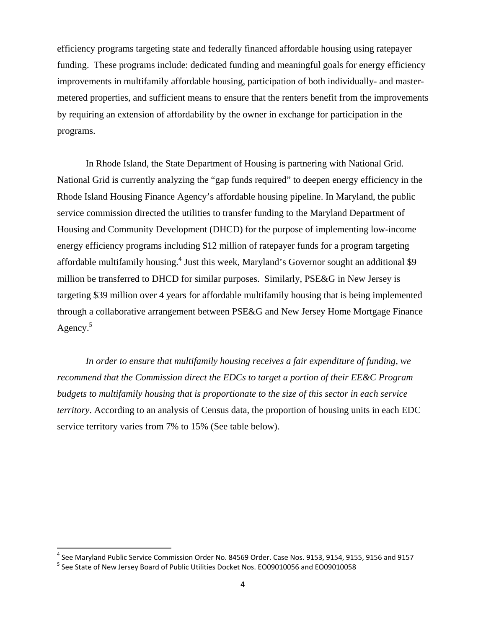efficiency programs targeting state and federally financed affordable housing using ratepayer funding. These programs include: dedicated funding and meaningful goals for energy efficiency improvements in multifamily affordable housing, participation of both individually- and mastermetered properties, and sufficient means to ensure that the renters benefit from the improvements by requiring an extension of affordability by the owner in exchange for participation in the programs.

In Rhode Island, the State Department of Housing is partnering with National Grid. National Grid is currently analyzing the "gap funds required" to deepen energy efficiency in the Rhode Island Housing Finance Agency's affordable housing pipeline. In Maryland, the public service commission directed the utilities to transfer funding to the Maryland Department of Housing and Community Development (DHCD) for the purpose of implementing low-income energy efficiency programs including \$12 million of ratepayer funds for a program targeting affordable multifamily housing.<sup>4</sup> Just this week, Maryland's Governor sought an additional \$9 million be transferred to DHCD for similar purposes. Similarly, PSE&G in New Jersey is targeting \$39 million over 4 years for affordable multifamily housing that is being implemented through a collaborative arrangement between PSE&G and New Jersey Home Mortgage Finance Agency.<sup>5</sup>

*In order to ensure that multifamily housing receives a fair expenditure of funding, we recommend that the Commission direct the EDCs to target a portion of their EE&C Program budgets to multifamily housing that is proportionate to the size of this sector in each service territory*. According to an analysis of Census data, the proportion of housing units in each EDC service territory varies from 7% to 15% (See table below).

<sup>&</sup>lt;sup>4</sup> See Maryland Public Service Commission Order No. 84569 Order. Case Nos. 9153, 9154, 9155, 9156 and 9157<br><sup>5</sup> See State of New Jersey Board of Public Utilities Docket Nos. EO09010056 and EO09010058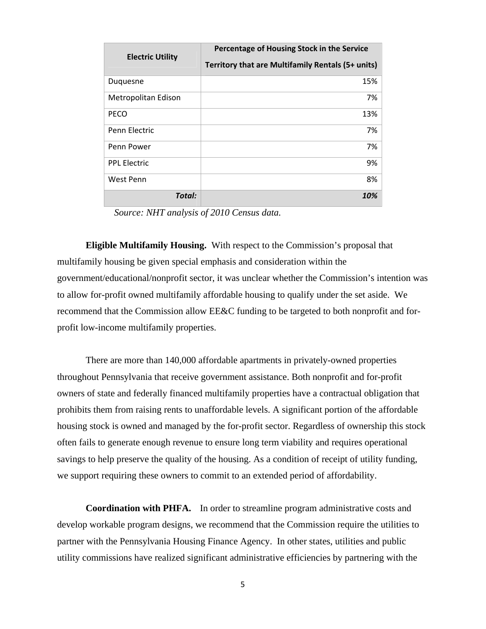| <b>Electric Utility</b> | Percentage of Housing Stock in the Service        |
|-------------------------|---------------------------------------------------|
|                         | Territory that are Multifamily Rentals (5+ units) |
| Duquesne                | 15%                                               |
| Metropolitan Edison     | 7%                                                |
| PECO                    | 13%                                               |
| Penn Flectric           | 7%                                                |
| Penn Power              | 7%                                                |
| <b>PPL Electric</b>     | 9%                                                |
| West Penn               | 8%                                                |
| Total:                  | 10%                                               |

*Source: NHT analysis of 2010 Census data.* 

**Eligible Multifamily Housing.** With respect to the Commission's proposal that multifamily housing be given special emphasis and consideration within the government/educational/nonprofit sector, it was unclear whether the Commission's intention was to allow for-profit owned multifamily affordable housing to qualify under the set aside. We recommend that the Commission allow EE&C funding to be targeted to both nonprofit and forprofit low-income multifamily properties.

There are more than 140,000 affordable apartments in privately-owned properties throughout Pennsylvania that receive government assistance. Both nonprofit and for-profit owners of state and federally financed multifamily properties have a contractual obligation that prohibits them from raising rents to unaffordable levels. A significant portion of the affordable housing stock is owned and managed by the for-profit sector. Regardless of ownership this stock often fails to generate enough revenue to ensure long term viability and requires operational savings to help preserve the quality of the housing. As a condition of receipt of utility funding, we support requiring these owners to commit to an extended period of affordability.

**Coordination with PHFA.** In order to streamline program administrative costs and develop workable program designs, we recommend that the Commission require the utilities to partner with the Pennsylvania Housing Finance Agency. In other states, utilities and public utility commissions have realized significant administrative efficiencies by partnering with the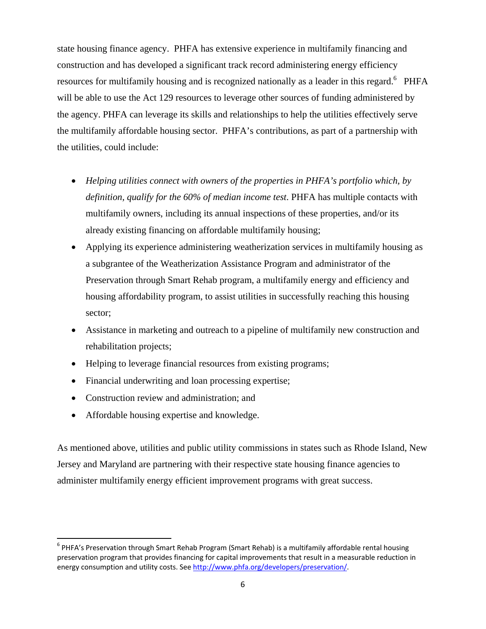state housing finance agency. PHFA has extensive experience in multifamily financing and construction and has developed a significant track record administering energy efficiency resources for multifamily housing and is recognized nationally as a leader in this regard.<sup>6</sup> PHFA will be able to use the Act 129 resources to leverage other sources of funding administered by the agency. PHFA can leverage its skills and relationships to help the utilities effectively serve the multifamily affordable housing sector. PHFA's contributions, as part of a partnership with the utilities, could include:

- *Helping utilities connect with owners of the properties in PHFA's portfolio which, by definition, qualify for the 60% of median income test*. PHFA has multiple contacts with multifamily owners, including its annual inspections of these properties, and/or its already existing financing on affordable multifamily housing;
- Applying its experience administering weatherization services in multifamily housing as a subgrantee of the Weatherization Assistance Program and administrator of the Preservation through Smart Rehab program, a multifamily energy and efficiency and housing affordability program, to assist utilities in successfully reaching this housing sector;
- Assistance in marketing and outreach to a pipeline of multifamily new construction and rehabilitation projects;
- Helping to leverage financial resources from existing programs;
- Financial underwriting and loan processing expertise;
- Construction review and administration; and
- Affordable housing expertise and knowledge.

As mentioned above, utilities and public utility commissions in states such as Rhode Island, New Jersey and Maryland are partnering with their respective state housing finance agencies to administer multifamily energy efficient improvement programs with great success.

<sup>&</sup>lt;sup>6</sup> PHFA's Preservation through Smart Rehab Program (Smart Rehab) is a multifamily affordable rental housing preservation program that provides financing for capital improvements that result in a measurable reduction in energy consumption and utility costs. See http://www.phfa.org/developers/preservation/.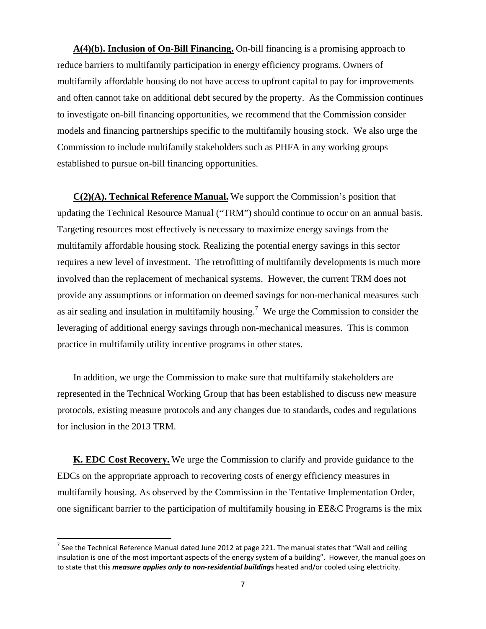**A(4)(b). Inclusion of On-Bill Financing.** On-bill financing is a promising approach to reduce barriers to multifamily participation in energy efficiency programs. Owners of multifamily affordable housing do not have access to upfront capital to pay for improvements and often cannot take on additional debt secured by the property. As the Commission continues to investigate on-bill financing opportunities, we recommend that the Commission consider models and financing partnerships specific to the multifamily housing stock. We also urge the Commission to include multifamily stakeholders such as PHFA in any working groups established to pursue on-bill financing opportunities.

**C(2)(A). Technical Reference Manual.** We support the Commission's position that updating the Technical Resource Manual ("TRM") should continue to occur on an annual basis. Targeting resources most effectively is necessary to maximize energy savings from the multifamily affordable housing stock. Realizing the potential energy savings in this sector requires a new level of investment. The retrofitting of multifamily developments is much more involved than the replacement of mechanical systems. However, the current TRM does not provide any assumptions or information on deemed savings for non-mechanical measures such as air sealing and insulation in multifamily housing.<sup>7</sup> We urge the Commission to consider the leveraging of additional energy savings through non-mechanical measures. This is common practice in multifamily utility incentive programs in other states.

In addition, we urge the Commission to make sure that multifamily stakeholders are represented in the Technical Working Group that has been established to discuss new measure protocols, existing measure protocols and any changes due to standards, codes and regulations for inclusion in the 2013 TRM.

**K. EDC Cost Recovery.** We urge the Commission to clarify and provide guidance to the EDCs on the appropriate approach to recovering costs of energy efficiency measures in multifamily housing. As observed by the Commission in the Tentative Implementation Order, one significant barrier to the participation of multifamily housing in EE&C Programs is the mix

 $<sup>7</sup>$  See the Technical Reference Manual dated June 2012 at page 221. The manual states that "Wall and ceiling</sup> insulation is one of the most important aspects of the energy system of a building". However, the manual goes on to state that this *measure applies only to non‐residential buildings* heated and/or cooled using electricity.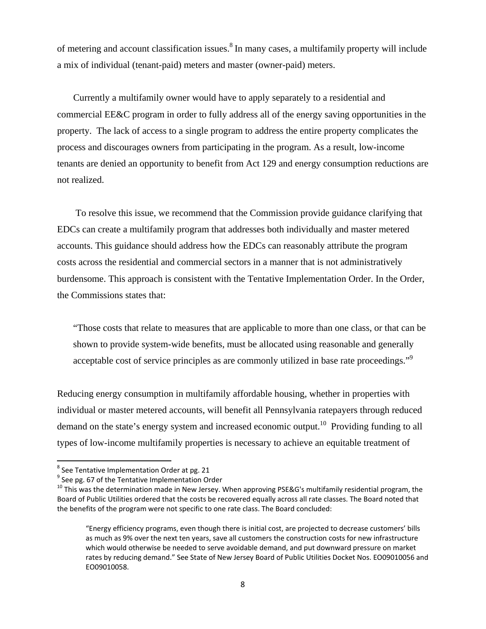of metering and account classification issues.<sup>8</sup> In many cases, a multifamily property will include a mix of individual (tenant-paid) meters and master (owner-paid) meters.

Currently a multifamily owner would have to apply separately to a residential and commercial EE&C program in order to fully address all of the energy saving opportunities in the property. The lack of access to a single program to address the entire property complicates the process and discourages owners from participating in the program. As a result, low-income tenants are denied an opportunity to benefit from Act 129 and energy consumption reductions are not realized.

 To resolve this issue, we recommend that the Commission provide guidance clarifying that EDCs can create a multifamily program that addresses both individually and master metered accounts. This guidance should address how the EDCs can reasonably attribute the program costs across the residential and commercial sectors in a manner that is not administratively burdensome. This approach is consistent with the Tentative Implementation Order. In the Order, the Commissions states that:

"Those costs that relate to measures that are applicable to more than one class, or that can be shown to provide system-wide benefits, must be allocated using reasonable and generally acceptable cost of service principles as are commonly utilized in base rate proceedings."<sup>9</sup>

Reducing energy consumption in multifamily affordable housing, whether in properties with individual or master metered accounts, will benefit all Pennsylvania ratepayers through reduced demand on the state's energy system and increased economic output.<sup>10</sup> Providing funding to all types of low-income multifamily properties is necessary to achieve an equitable treatment of

<sup>&</sup>lt;sup>8</sup> See Tentative Implementation Order at pg. 21

<sup>8</sup> See pg. 67 of the Tentative Implementation Order<br><sup>10</sup> See pg. 67 of the Tentative Implementation Order 10 This was the determination made in New Jersey. When approving PSE&G's multifamily residential program, the Board of Public Utilities ordered that the costs be recovered equally across all rate classes. The Board noted that the benefits of the program were not specific to one rate class. The Board concluded:

<sup>&</sup>quot;Energy efficiency programs, even though there is initial cost, are projected to decrease customers' bills as much as 9% over the next ten years, save all customers the construction costs for new infrastructure which would otherwise be needed to serve avoidable demand, and put downward pressure on market rates by reducing demand." See State of New Jersey Board of Public Utilities Docket Nos. EO09010056 and EO09010058.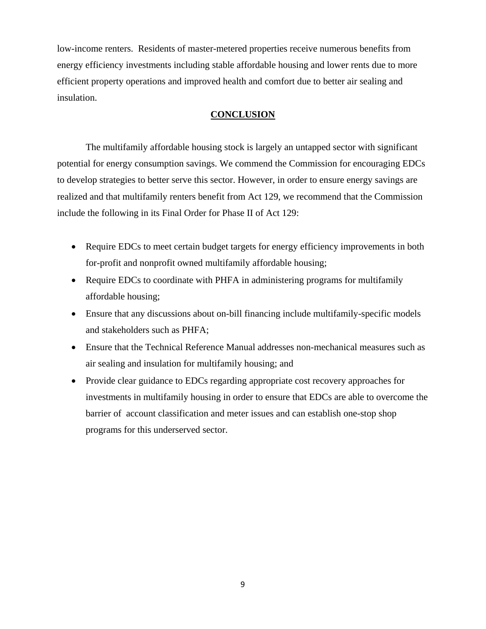low-income renters. Residents of master-metered properties receive numerous benefits from energy efficiency investments including stable affordable housing and lower rents due to more efficient property operations and improved health and comfort due to better air sealing and insulation.

## **CONCLUSION**

 The multifamily affordable housing stock is largely an untapped sector with significant potential for energy consumption savings. We commend the Commission for encouraging EDCs to develop strategies to better serve this sector. However, in order to ensure energy savings are realized and that multifamily renters benefit from Act 129, we recommend that the Commission include the following in its Final Order for Phase II of Act 129:

- Require EDCs to meet certain budget targets for energy efficiency improvements in both for-profit and nonprofit owned multifamily affordable housing;
- Require EDCs to coordinate with PHFA in administering programs for multifamily affordable housing;
- Ensure that any discussions about on-bill financing include multifamily-specific models and stakeholders such as PHFA;
- Ensure that the Technical Reference Manual addresses non-mechanical measures such as air sealing and insulation for multifamily housing; and
- Provide clear guidance to EDCs regarding appropriate cost recovery approaches for investments in multifamily housing in order to ensure that EDCs are able to overcome the barrier of account classification and meter issues and can establish one-stop shop programs for this underserved sector.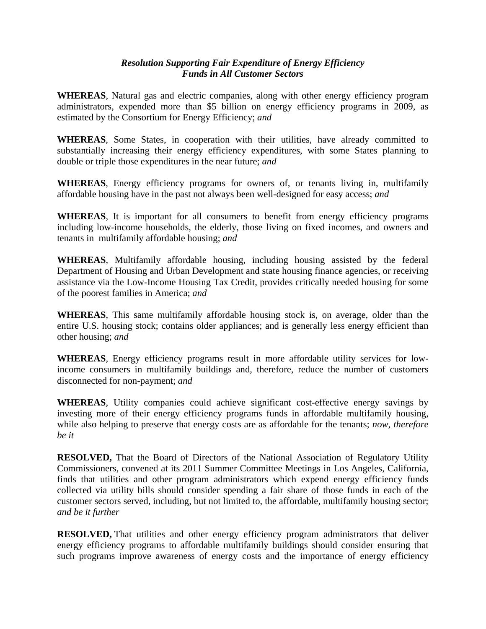## *Resolution Supporting Fair Expenditure of Energy Efficiency Funds in All Customer Sectors*

**WHEREAS**, Natural gas and electric companies, along with other energy efficiency program administrators, expended more than \$5 billion on energy efficiency programs in 2009, as estimated by the Consortium for Energy Efficiency; *and*

**WHEREAS**, Some States, in cooperation with their utilities, have already committed to substantially increasing their energy efficiency expenditures, with some States planning to double or triple those expenditures in the near future; *and*

**WHEREAS**, Energy efficiency programs for owners of, or tenants living in, multifamily affordable housing have in the past not always been well-designed for easy access; *and*

**WHEREAS**, It is important for all consumers to benefit from energy efficiency programs including low-income households, the elderly, those living on fixed incomes, and owners and tenants in multifamily affordable housing; *and*

**WHEREAS**, Multifamily affordable housing, including housing assisted by the federal Department of Housing and Urban Development and state housing finance agencies, or receiving assistance via the Low-Income Housing Tax Credit, provides critically needed housing for some of the poorest families in America; *and*

**WHEREAS**, This same multifamily affordable housing stock is, on average, older than the entire U.S. housing stock; contains older appliances; and is generally less energy efficient than other housing; *and*

**WHEREAS***,* Energy efficiency programs result in more affordable utility services for lowincome consumers in multifamily buildings and, therefore, reduce the number of customers disconnected for non-payment; *and* 

**WHEREAS**, Utility companies could achieve significant cost-effective energy savings by investing more of their energy efficiency programs funds in affordable multifamily housing, while also helping to preserve that energy costs are as affordable for the tenants; *now, therefore be it* 

**RESOLVED,** That the Board of Directors of the National Association of Regulatory Utility Commissioners, convened at its 2011 Summer Committee Meetings in Los Angeles, California, finds that utilities and other program administrators which expend energy efficiency funds collected via utility bills should consider spending a fair share of those funds in each of the customer sectors served, including, but not limited to, the affordable, multifamily housing sector; *and be it further*

**RESOLVED,** That utilities and other energy efficiency program administrators that deliver energy efficiency programs to affordable multifamily buildings should consider ensuring that such programs improve awareness of energy costs and the importance of energy efficiency